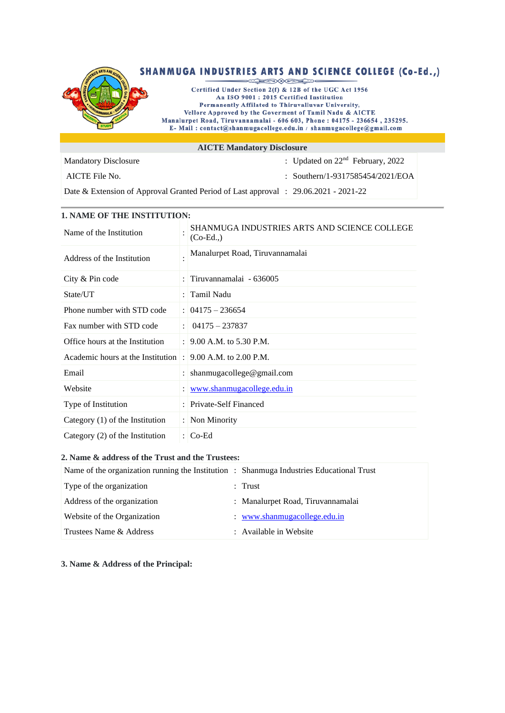

| ALC TE Manuatory Disclosure                                                             |                                    |
|-----------------------------------------------------------------------------------------|------------------------------------|
| <b>Mandatory Disclosure</b>                                                             | : Updated on $22nd$ February, 2022 |
| AICTE File No.                                                                          | : Southern/1-9317585454/2021/EOA   |
| Date & Extension of Approval Granted Period of Last approval : $29.06.2021 - 2021 - 22$ |                                    |

# **1. NAME OF THE INSTITUTION:**

| Name of the Institution             |           | SHANMUGA INDUSTRIES ARTS AND SCIENCE COLLEGE<br>$(Co-Ed.)$ |
|-------------------------------------|-----------|------------------------------------------------------------|
| Address of the Institution          |           | Manalurpet Road, Tiruvannamalai                            |
| City & Pin code                     |           | Tiruvannamalai - 636005                                    |
| State/UT                            |           | Tamil Nadu                                                 |
| Phone number with STD code          |           | $: 04175 - 236654$                                         |
| Fax number with STD code            |           | $04175 - 237837$                                           |
| Office hours at the Institution     |           | : $9.00$ A.M. to 5.30 P.M.                                 |
| Academic hours at the Institution : |           | 9.00 A.M. to $2.00$ P.M.                                   |
| Email                               |           | shanmugacollege@gmail.com                                  |
| Website                             |           | www.shanmugacollege.edu.in                                 |
| Type of Institution                 | $\bullet$ | Private-Self Financed                                      |
| Category $(1)$ of the Institution   |           | : Non Minority                                             |
| Category (2) of the Institution     |           | : $Co-Ed$                                                  |

### **2. Name & address of the Trust and the Trustees:**

| Name of the organization running the Institution : Shanmuga Industries Educational Trust |                                   |
|------------------------------------------------------------------------------------------|-----------------------------------|
| Type of the organization                                                                 | : Trust                           |
| Address of the organization                                                              | : Manalurpet Road, Tiruvannamalai |
| Website of the Organization                                                              | : www.shanmugacollege.edu.in      |
| Trustees Name & Address                                                                  | : Available in Website            |

**3. Name & Address of the Principal:**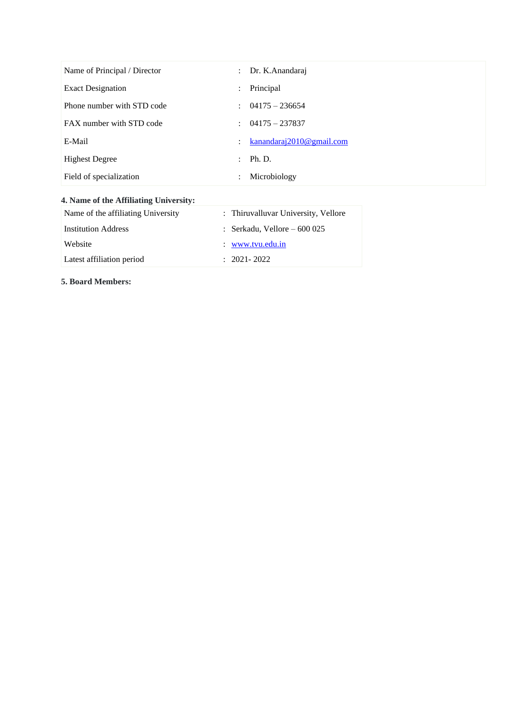| Name of Principal / Director | $\ddot{\phantom{0}}$      | Dr. K.Anandaraj             |
|------------------------------|---------------------------|-----------------------------|
| <b>Exact Designation</b>     | $\ddot{\phantom{a}}$      | Principal                   |
| Phone number with STD code   |                           | $\therefore$ 04175 - 236654 |
| FAX number with STD code     | ÷                         | $04175 - 237837$            |
| E-Mail                       | $\mathbb{Z}^{\mathbb{Z}}$ | kanandaraj2010@gmail.com    |
| <b>Highest Degree</b>        | $\mathbb{R}^{\mathbb{Z}}$ | Ph. D.                      |
| Field of specialization      | $\bullet$                 | Microbiology                |

## **4. Name of the Affiliating University:**

| Name of the affiliating University | : Thiruvalluvar University, Vellore |
|------------------------------------|-------------------------------------|
| <b>Institution Address</b>         | : Serkadu, Vellore $-600025$        |
| Website                            | $\therefore$ www.tvu.edu.in         |
| Latest affiliation period          | $: 2021 - 2022$                     |

**5. Board Members:**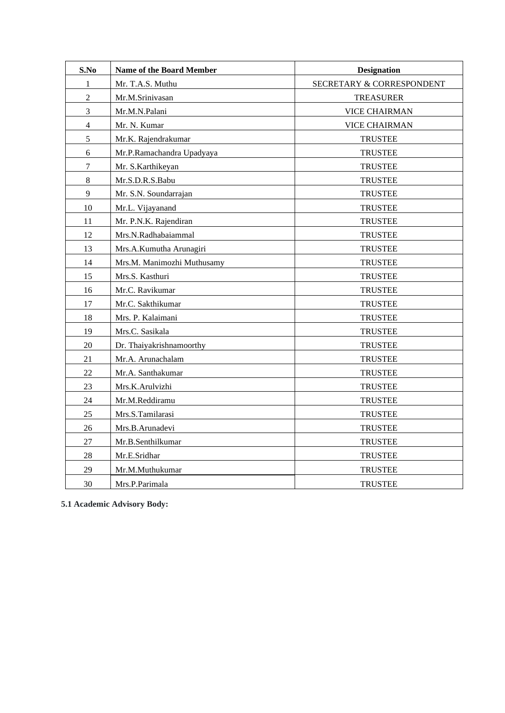| S.No           | <b>Name of the Board Member</b> | <b>Designation</b>        |
|----------------|---------------------------------|---------------------------|
| $\mathbf{1}$   | Mr. T.A.S. Muthu                | SECRETARY & CORRESPONDENT |
| $\overline{c}$ | Mr.M.Srinivasan                 | <b>TREASURER</b>          |
| 3              | Mr.M.N.Palani                   | <b>VICE CHAIRMAN</b>      |
| $\overline{4}$ | Mr. N. Kumar                    | <b>VICE CHAIRMAN</b>      |
| 5              | Mr.K. Rajendrakumar             | <b>TRUSTEE</b>            |
| 6              | Mr.P.Ramachandra Upadyaya       | <b>TRUSTEE</b>            |
| $\tau$         | Mr. S.Karthikeyan               | <b>TRUSTEE</b>            |
| $\,8\,$        | Mr.S.D.R.S.Babu                 | <b>TRUSTEE</b>            |
| 9              | Mr. S.N. Soundarrajan           | <b>TRUSTEE</b>            |
| 10             | Mr.L. Vijayanand                | <b>TRUSTEE</b>            |
| 11             | Mr. P.N.K. Rajendiran           | <b>TRUSTEE</b>            |
| 12             | Mrs.N.Radhabaiammal             | <b>TRUSTEE</b>            |
| 13             | Mrs.A.Kumutha Arunagiri         | <b>TRUSTEE</b>            |
| 14             | Mrs.M. Manimozhi Muthusamy      | <b>TRUSTEE</b>            |
| 15             | Mrs.S. Kasthuri                 | <b>TRUSTEE</b>            |
| 16             | Mr.C. Ravikumar                 | <b>TRUSTEE</b>            |
| 17             | Mr.C. Sakthikumar               | <b>TRUSTEE</b>            |
| 18             | Mrs. P. Kalaimani               | <b>TRUSTEE</b>            |
| 19             | Mrs.C. Sasikala                 | <b>TRUSTEE</b>            |
| 20             | Dr. Thaiyakrishnamoorthy        | <b>TRUSTEE</b>            |
| 21             | Mr.A. Arunachalam               | <b>TRUSTEE</b>            |
| 22             | Mr.A. Santhakumar               | <b>TRUSTEE</b>            |
| 23             | Mrs.K.Arulvizhi                 | <b>TRUSTEE</b>            |
| 24             | Mr.M.Reddiramu                  | <b>TRUSTEE</b>            |
| 25             | Mrs.S.Tamilarasi                | <b>TRUSTEE</b>            |
| 26             | Mrs.B.Arunadevi                 | <b>TRUSTEE</b>            |
| $27\,$         | Mr.B.Senthilkumar               | <b>TRUSTEE</b>            |
| 28             | Mr.E.Sridhar                    | <b>TRUSTEE</b>            |
| 29             | Mr.M.Muthukumar                 | <b>TRUSTEE</b>            |
| 30             | Mrs.P.Parimala                  | <b>TRUSTEE</b>            |

**5.1 Academic Advisory Body:**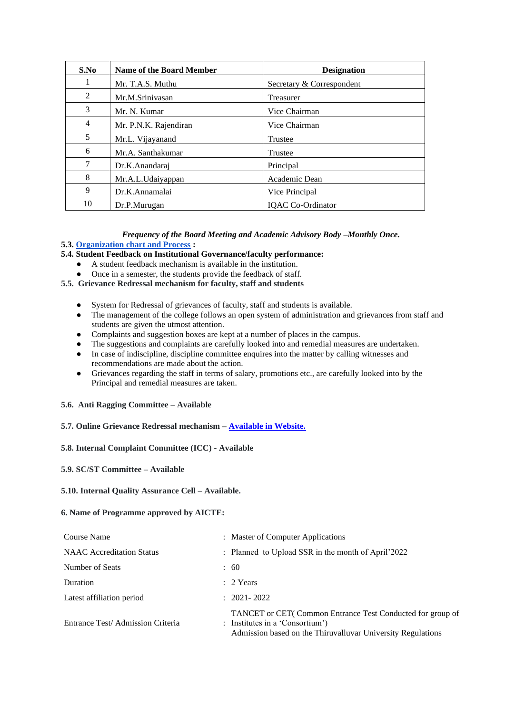| S.No | <b>Name of the Board Member</b> | <b>Designation</b>        |
|------|---------------------------------|---------------------------|
| -1   | Mr. T.A.S. Muthu                | Secretary & Correspondent |
| 2    | Mr.M.Sriniyasan                 | <b>Treasurer</b>          |
| 3    | Mr. N. Kumar                    | Vice Chairman             |
| 4    | Mr. P.N.K. Rajendiran           | Vice Chairman             |
| 5    | Mr.L. Vijayanand                | <b>Trustee</b>            |
| 6    | Mr.A. Santhakumar               | <b>Trustee</b>            |
| 7    | Dr.K.Anandaraj                  | Principal                 |
| 8    | Mr.A.L.Udaiyappan               | Academic Dean             |
| 9    | Dr.K.Annamalai                  | Vice Principal            |
| 10   | Dr.P.Murugan                    | <b>IQAC</b> Co-Ordinator  |

#### *Frequency of the Board Meeting and Academic Advisory Body –Monthly Once.* **5.3[. Organization chart and Process](https://drive.google.com/file/d/1hQE5HZ8FWPFZTdK2Bx2VKhM-SI4an-89/view?usp=sharing) :**

#### **5.4. Student Feedback on Institutional Governance/faculty performance:**

- A student feedback mechanism is available in the institution.
- Once in a semester, the students provide the feedback of staff.
- **5.5. Grievance Redressal mechanism for faculty, staff and students**
	- System for Redressal of grievances of faculty, staff and students is available.
	- The management of the college follows an open system of administration and grievances from staff and students are given the utmost attention.
	- Complaints and suggestion boxes are kept at a number of places in the campus.
	- The suggestions and complaints are carefully looked into and remedial measures are undertaken.
	- In case of indiscipline, discipline committee enquires into the matter by calling witnesses and recommendations are made about the action.
	- Grievances regarding the staff in terms of salary, promotions etc., are carefully looked into by the Principal and remedial measures are taken.

#### **5.6. Anti Ragging Committee – Available**

#### **5.7. Online Grievance Redressal mechanism – [Available in Website.](https://www.shanmugacollege.edu.in/gri.html)**

#### **5.8. Internal Complaint Committee (ICC) - Available**

#### **5.9. SC/ST Committee – Available**

#### **5.10. Internal Quality Assurance Cell – Available.**

#### **6. Name of Programme approved by AICTE:**

| Course Name                      | : Master of Computer Applications                                                                                                                           |
|----------------------------------|-------------------------------------------------------------------------------------------------------------------------------------------------------------|
| <b>NAAC</b> Accreditation Status | : Planned to Upload SSR in the month of April'2022                                                                                                          |
| Number of Seats                  | : 60                                                                                                                                                        |
| Duration                         | $: 2$ Years                                                                                                                                                 |
| Latest affiliation period        | $: 2021 - 2022$                                                                                                                                             |
| Entrance Test/Admission Criteria | TANCET or CET(Common Entrance Test Conducted for group of<br>: Institutes in a 'Consortium')<br>Admission based on the Thiruvalluvar University Regulations |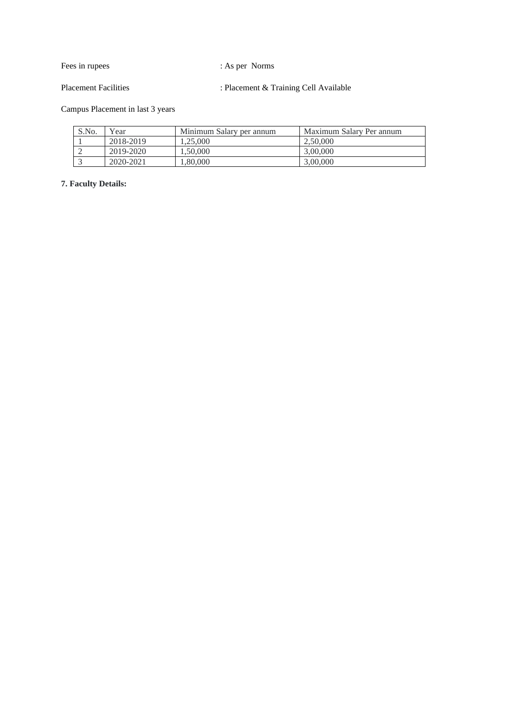Fees in rupees : As per Norms

Placement Facilities : Placement & Training Cell Available

Campus Placement in last 3 years

| S.No. | Year      | Minimum Salary per annum | Maximum Salary Per annum |
|-------|-----------|--------------------------|--------------------------|
|       | 2018-2019 | .25.000                  | 2.50,000                 |
|       | 2019-2020 | .50.000                  | 3,00,000                 |
|       | 2020-2021 | ,80,000                  | 3,00,000                 |

**7. Faculty Details:**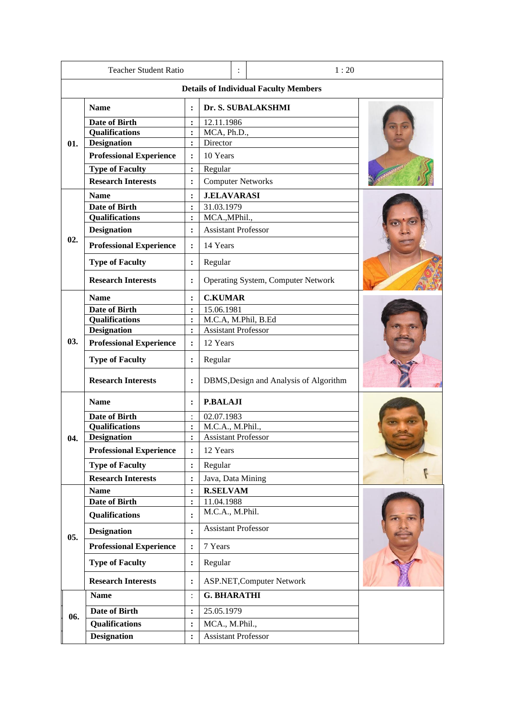| <b>Teacher Student Ratio</b>            |                                                  |                      |                                        | 1:20 |                                              |  |  |
|-----------------------------------------|--------------------------------------------------|----------------------|----------------------------------------|------|----------------------------------------------|--|--|
|                                         |                                                  |                      |                                        |      | <b>Details of Individual Faculty Members</b> |  |  |
|                                         | <b>Name</b>                                      | $\cdot$              |                                        |      | Dr. S. SUBALAKSHMI                           |  |  |
|                                         | <b>Date of Birth</b>                             | :                    | 12.11.1986                             |      |                                              |  |  |
|                                         | <b>Qualifications</b>                            | $\ddot{\cdot}$       | MCA, Ph.D.,                            |      |                                              |  |  |
| 01.                                     | <b>Designation</b>                               | :                    | Director                               |      |                                              |  |  |
|                                         | <b>Professional Experience</b>                   | $\ddot{\phantom{a}}$ | 10 Years                               |      |                                              |  |  |
|                                         | <b>Type of Faculty</b>                           | $\ddot{\cdot}$       | Regular                                |      |                                              |  |  |
|                                         | <b>Research Interests</b>                        | $\ddot{\cdot}$       | <b>Computer Networks</b>               |      |                                              |  |  |
|                                         | <b>Name</b>                                      | $\ddot{\cdot}$       | <b>J.ELAVARASI</b>                     |      |                                              |  |  |
|                                         | <b>Date of Birth</b>                             | $\ddot{\cdot}$       | 31.03.1979                             |      |                                              |  |  |
|                                         | <b>Qualifications</b>                            | $\ddot{\cdot}$       | MCA., MPhil.,                          |      |                                              |  |  |
|                                         | <b>Designation</b>                               | $\ddot{\cdot}$       | <b>Assistant Professor</b>             |      |                                              |  |  |
| 02.                                     | <b>Professional Experience</b>                   | $\ddot{\cdot}$       | 14 Years                               |      |                                              |  |  |
|                                         | <b>Type of Faculty</b>                           | $\ddot{\cdot}$       | Regular                                |      |                                              |  |  |
|                                         | <b>Research Interests</b>                        | $\ddot{\cdot}$       |                                        |      | <b>Operating System, Computer Network</b>    |  |  |
|                                         | <b>Name</b>                                      | $\ddot{\cdot}$       | <b>C.KUMAR</b>                         |      |                                              |  |  |
|                                         | Date of Birth                                    | $\ddot{\cdot}$       | 15.06.1981                             |      |                                              |  |  |
|                                         | <b>Qualifications</b>                            | $\ddot{\cdot}$       | M.C.A, M.Phil, B.Ed                    |      |                                              |  |  |
|                                         | <b>Designation</b>                               |                      | <b>Assistant Professor</b>             |      |                                              |  |  |
| 03.                                     | <b>Professional Experience</b>                   | $\ddot{\cdot}$       | 12 Years                               |      |                                              |  |  |
|                                         | <b>Type of Faculty</b>                           | $\ddot{\cdot}$       | Regular                                |      |                                              |  |  |
|                                         | <b>Research Interests</b>                        | $\ddot{\cdot}$       | DBMS, Design and Analysis of Algorithm |      |                                              |  |  |
|                                         | <b>P.BALAJI</b><br><b>Name</b><br>$\ddot{\cdot}$ |                      |                                        |      |                                              |  |  |
| <b>Date of Birth</b>                    |                                                  | 02.07.1983           |                                        |      |                                              |  |  |
| <b>Qualifications</b><br>$\ddot{\cdot}$ |                                                  |                      | M.C.A., M.Phil.,                       |      |                                              |  |  |
| 04.                                     | <b>Designation</b>                               | $\ddot{\cdot}$       | <b>Assistant Professor</b>             |      |                                              |  |  |
|                                         | <b>Professional Experience</b>                   | $\ddot{\cdot}$       | 12 Years                               |      |                                              |  |  |
|                                         | <b>Type of Faculty</b>                           | $\ddot{\cdot}$       | Regular                                |      |                                              |  |  |
|                                         | <b>Research Interests</b>                        | $\ddot{\cdot}$       | Java, Data Mining                      |      |                                              |  |  |
|                                         | <b>Name</b>                                      | $\ddot{\cdot}$       | <b>R.SELVAM</b>                        |      |                                              |  |  |
|                                         | <b>Date of Birth</b>                             | $\ddot{\cdot}$       | 11.04.1988                             |      |                                              |  |  |
|                                         | <b>Qualifications</b>                            | $\ddot{\cdot}$       | M.C.A., M.Phil.                        |      |                                              |  |  |
| 05.                                     | <b>Designation</b>                               | $\ddot{\cdot}$       | <b>Assistant Professor</b>             |      |                                              |  |  |
|                                         | <b>Professional Experience</b>                   | :                    | 7 Years                                |      |                                              |  |  |
| <b>Type of Faculty</b>                  |                                                  |                      | Regular                                |      |                                              |  |  |
|                                         | <b>Research Interests</b>                        | $\ddot{\cdot}$       |                                        |      | <b>ASP.NET, Computer Network</b>             |  |  |
|                                         | <b>Name</b>                                      | $\cdot$              | <b>G. BHARATHI</b>                     |      |                                              |  |  |
| 06.                                     | <b>Date of Birth</b>                             | $\ddot{\cdot}$       | 25.05.1979                             |      |                                              |  |  |
|                                         | <b>Qualifications</b>                            | $\ddot{\cdot}$       | MCA., M.Phil.,                         |      |                                              |  |  |
|                                         | <b>Designation</b>                               | $\ddot{\cdot}$       | <b>Assistant Professor</b>             |      |                                              |  |  |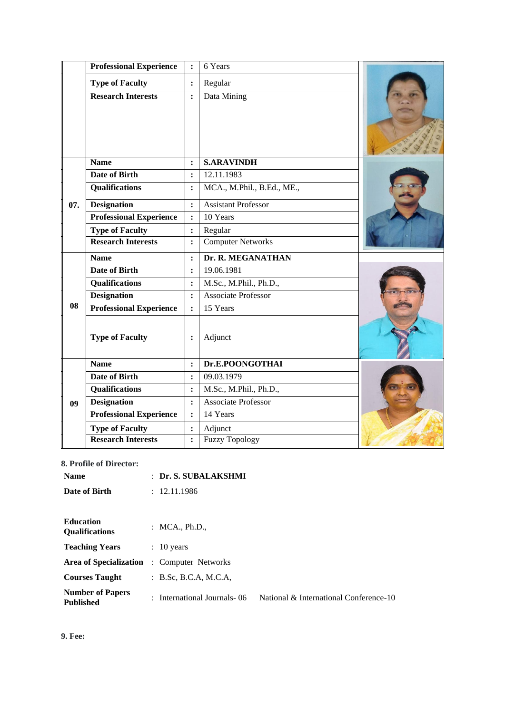|     | <b>Professional Experience</b> | $\ddot{\cdot}$       | 6 Years                    |  |
|-----|--------------------------------|----------------------|----------------------------|--|
|     | <b>Type of Faculty</b>         | $\ddot{\cdot}$       | Regular                    |  |
|     | <b>Research Interests</b>      | $\ddot{\cdot}$       | Data Mining                |  |
|     | <b>Name</b>                    | $\ddot{\cdot}$       | <b>S.ARAVINDH</b>          |  |
|     | <b>Date of Birth</b>           | $\ddot{\cdot}$       | 12.11.1983                 |  |
|     | <b>Qualifications</b>          | $\ddot{\cdot}$       | MCA., M.Phil., B.Ed., ME., |  |
| 07. | <b>Designation</b>             | $\ddot{\cdot}$       | <b>Assistant Professor</b> |  |
|     | <b>Professional Experience</b> | $\ddot{\cdot}$       | 10 Years                   |  |
|     | <b>Type of Faculty</b>         | $\ddot{\cdot}$       | Regular                    |  |
|     | <b>Research Interests</b>      | $\ddot{\cdot}$       | <b>Computer Networks</b>   |  |
|     | <b>Name</b>                    | $\ddot{\phantom{a}}$ | Dr. R. MEGANATHAN          |  |
|     | <b>Date of Birth</b>           | $\ddot{\cdot}$       | 19.06.1981                 |  |
|     | <b>Qualifications</b>          | $\ddot{\cdot}$       | M.Sc., M.Phil., Ph.D.,     |  |
|     | <b>Designation</b>             | $\ddot{\cdot}$       | <b>Associate Professor</b> |  |
| 08  | <b>Professional Experience</b> | $\ddot{\cdot}$       | 15 Years                   |  |
|     | <b>Type of Faculty</b>         | $\ddot{\cdot}$       | Adjunct                    |  |
|     | <b>Name</b>                    | $\ddot{\cdot}$       | Dr.E.POONGOTHAI            |  |
|     | <b>Date of Birth</b>           | $\ddot{\cdot}$       | 09.03.1979                 |  |
|     | <b>Qualifications</b>          | $\ddot{\cdot}$       | M.Sc., M.Phil., Ph.D.,     |  |
| 09  | <b>Designation</b>             | $\ddot{\cdot}$       | <b>Associate Professor</b> |  |
|     | <b>Professional Experience</b> | $\ddot{\cdot}$       | 14 Years                   |  |
|     | <b>Type of Faculty</b>         | :                    | Adjunct                    |  |
|     | <b>Research Interests</b>      | $\ddot{\cdot}$       | <b>Fuzzy Topology</b>      |  |

#### **8. Profile of Director:**

| <b>Name</b>                                 | $:$ Dr. S. SUBALAKSHMI        |                                        |
|---------------------------------------------|-------------------------------|----------------------------------------|
| Date of Birth                               | : 12.11.1986                  |                                        |
| <b>Education</b><br><b>Oualifications</b>   | : $MCA., Ph.D.,$              |                                        |
| <b>Teaching Years</b>                       | $: 10$ years                  |                                        |
| Area of Specialization                      | : Computer Networks           |                                        |
| <b>Courses Taught</b>                       | B.Sc, B.C.A, M.C.A.           |                                        |
| <b>Number of Papers</b><br><b>Published</b> | : International Journals - 06 | National & International Conference-10 |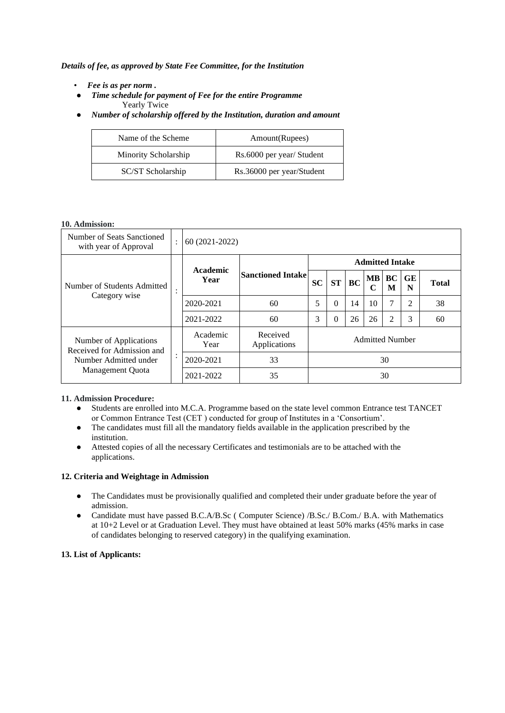*Details of fee, as approved by State Fee Committee, for the Institution*

- *Fee is as per norm .*
- *Time schedule for payment of Fee for the entire Programme* Yearly Twice
- *Number of scholarship offered by the Institution, duration and amount*

| Name of the Scheme   | Amount(Rupees)            |
|----------------------|---------------------------|
| Minority Scholarship | Rs.6000 per year/ Student |
| SC/ST Scholarship    | Rs.36000 per year/Student |

#### **10. Admission:**

| Number of Seats Sanctioned<br>with year of Approval                                               |         | 60 (2021-2022)   |                          |                        |           |           |         |         |         |              |
|---------------------------------------------------------------------------------------------------|---------|------------------|--------------------------|------------------------|-----------|-----------|---------|---------|---------|--------------|
|                                                                                                   |         |                  |                          | <b>Admitted Intake</b> |           |           |         |         |         |              |
| Number of Students Admitted                                                                       | $\cdot$ | Academic<br>Year | <b>Sanctioned Intake</b> | <b>SC</b>              | <b>ST</b> | <b>BC</b> | MВ<br>C | BC<br>M | GE<br>N | <b>Total</b> |
| Category wise                                                                                     |         | 2020-2021        | 60                       | 5                      | $\Omega$  | 14        | 10      | 7       | 2       | 38           |
|                                                                                                   |         | 2021-2022        | 60                       | 3                      | $\Omega$  | 26        | 26      | 2       | 3       | 60           |
| Number of Applications<br>Received for Admission and<br>Number Admitted under<br>Management Quota |         | Academic<br>Year | Received<br>Applications | <b>Admitted Number</b> |           |           |         |         |         |              |
|                                                                                                   |         | 2020-2021        | 33                       |                        | 30        |           |         |         |         |              |
|                                                                                                   |         | 2021-2022        | 35                       |                        | 30        |           |         |         |         |              |

#### **11. Admission Procedure:**

- Students are enrolled into M.C.A. Programme based on the state level common Entrance test TANCET or Common Entrance Test (CET ) conducted for group of Institutes in a 'Consortium'.
- The candidates must fill all the mandatory fields available in the application prescribed by the institution.
- Attested copies of all the necessary Certificates and testimonials are to be attached with the applications.

### **12. Criteria and Weightage in Admission**

- The Candidates must be provisionally qualified and completed their under graduate before the year of admission.
- Candidate must have passed B.C.A/B.Sc ( Computer Science) /B.Sc./ B.Com./ B.A. with Mathematics at 10+2 Level or at Graduation Level. They must have obtained at least 50% marks (45% marks in case of candidates belonging to reserved category) in the qualifying examination.

#### **13. List of Applicants:**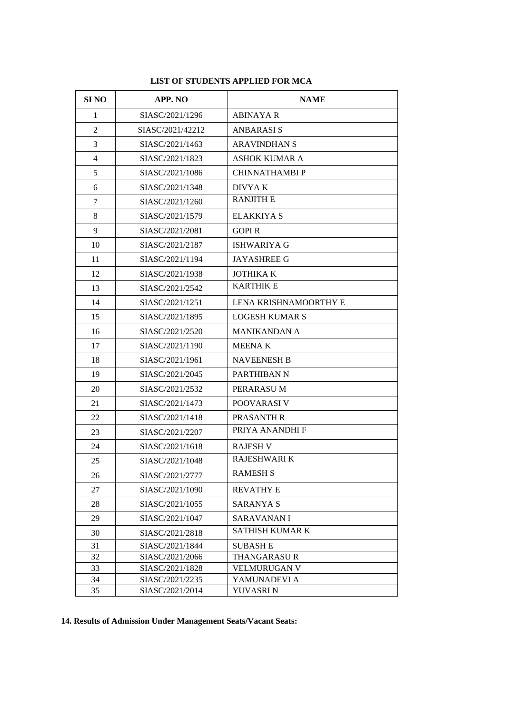| <b>SI NO</b>   | APP. NO          | <b>NAME</b>           |  |  |
|----------------|------------------|-----------------------|--|--|
| 1              | SIASC/2021/1296  | ABINAYA R             |  |  |
| $\overline{2}$ | SIASC/2021/42212 | <b>ANBARASIS</b>      |  |  |
| 3              | SIASC/2021/1463  | <b>ARAVINDHAN S</b>   |  |  |
| 4              | SIASC/2021/1823  | <b>ASHOK KUMAR A</b>  |  |  |
| 5              | SIASC/2021/1086  | <b>CHINNATHAMBI P</b> |  |  |
| 6              | SIASC/2021/1348  | DIVYA K               |  |  |
| 7              | SIASC/2021/1260  | <b>RANJITH E</b>      |  |  |
| 8              | SIASC/2021/1579  | <b>ELAKKIYA S</b>     |  |  |
| 9              | SIASC/2021/2081  | <b>GOPIR</b>          |  |  |
| 10             | SIASC/2021/2187  | ISHWARIYA G           |  |  |
| 11             | SIASC/2021/1194  | <b>JAYASHREE G</b>    |  |  |
| 12             | SIASC/2021/1938  | <b>JOTHIKA K</b>      |  |  |
| 13             | SIASC/2021/2542  | <b>KARTHIK E</b>      |  |  |
| 14             | SIASC/2021/1251  | LENA KRISHNAMOORTHY E |  |  |
| 15             | SIASC/2021/1895  | <b>LOGESH KUMAR S</b> |  |  |
| 16             | SIASC/2021/2520  | <b>MANIKANDAN A</b>   |  |  |
| 17             | SIASC/2021/1190  | <b>MEENAK</b>         |  |  |
| 18             | SIASC/2021/1961  | <b>NAVEENESH B</b>    |  |  |
| 19             | SIASC/2021/2045  | PARTHIBAN N           |  |  |
| 20             | SIASC/2021/2532  | PERARASU M            |  |  |
| 21             | SIASC/2021/1473  | POOVARASI V           |  |  |
| 22             | SIASC/2021/1418  | PRASANTH R            |  |  |
| 23             | SIASC/2021/2207  | PRIYA ANANDHI F       |  |  |
| 24             | SIASC/2021/1618  | <b>RAJESH V</b>       |  |  |
| 25             | SIASC/2021/1048  | <b>RAJESHWARI K</b>   |  |  |
| 26             | SIASC/2021/2777  | <b>RAMESH S</b>       |  |  |
| 27             | SIASC/2021/1090  | <b>REVATHY E</b>      |  |  |
| 28             | SIASC/2021/1055  | SARANYA S             |  |  |
| 29             | SIASC/2021/1047  | SARAVANAN I           |  |  |
| 30             | SIASC/2021/2818  | SATHISH KUMAR K       |  |  |
| 31             | SIASC/2021/1844  | <b>SUBASHE</b>        |  |  |
| 32             | SIASC/2021/2066  | <b>THANGARASUR</b>    |  |  |
| 33             | SIASC/2021/1828  | <b>VELMURUGAN V</b>   |  |  |
| 34             | SIASC/2021/2235  | YAMUNADEVI A          |  |  |
| 35             | SIASC/2021/2014  | YUVASRI N             |  |  |

## **LIST OF STUDENTS APPLIED FOR MCA**

## **14. Results of Admission Under Management Seats/Vacant Seats:**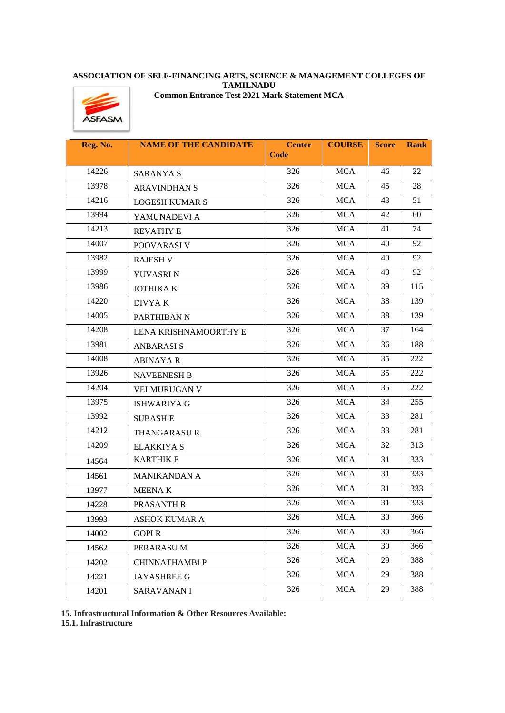#### **ASSOCIATION OF SELF-FINANCING ARTS, SCIENCE & MANAGEMENT COLLEGES OF TAMILNADU Common Entrance Test 2021 Mark Statement MCA**



| Reg. No. | <b>NAME OF THE CANDIDATE</b> | <b>Center</b> | <b>COURSE</b> | <b>Score</b> | <b>Rank</b> |
|----------|------------------------------|---------------|---------------|--------------|-------------|
|          |                              | <b>Code</b>   |               |              |             |
| 14226    | <b>SARANYA S</b>             | 326           | <b>MCA</b>    | 46           | 22          |
| 13978    | <b>ARAVINDHAN S</b>          | 326           | <b>MCA</b>    | 45           | 28          |
| 14216    | <b>LOGESH KUMAR S</b>        | 326           | <b>MCA</b>    | 43           | 51          |
| 13994    | YAMUNADEVI A                 | 326           | <b>MCA</b>    | 42           | 60          |
| 14213    | <b>REVATHY E</b>             | 326           | <b>MCA</b>    | 41           | 74          |
| 14007    | POOVARASI V                  | 326           | <b>MCA</b>    | 40           | 92          |
| 13982    | <b>RAJESH V</b>              | 326           | <b>MCA</b>    | 40           | 92          |
| 13999    | YUVASRI N                    | 326           | <b>MCA</b>    | 40           | 92          |
| 13986    | <b>JOTHIKA K</b>             | 326           | <b>MCA</b>    | 39           | 115         |
| 14220    | DIVYA K                      | 326           | <b>MCA</b>    | 38           | 139         |
| 14005    | PARTHIBAN N                  | 326           | <b>MCA</b>    | 38           | 139         |
| 14208    | LENA KRISHNAMOORTHY E        | 326           | <b>MCA</b>    | 37           | 164         |
| 13981    | <b>ANBARASIS</b>             | 326           | <b>MCA</b>    | 36           | 188         |
| 14008    | <b>ABINAYA R</b>             | 326           | <b>MCA</b>    | 35           | 222         |
| 13926    | <b>NAVEENESH B</b>           | 326           | <b>MCA</b>    | 35           | 222         |
| 14204    | <b>VELMURUGAN V</b>          | 326           | <b>MCA</b>    | 35           | 222         |
| 13975    | <b>ISHWARIYA G</b>           | 326           | <b>MCA</b>    | 34           | 255         |
| 13992    | <b>SUBASH E</b>              | 326           | <b>MCA</b>    | 33           | 281         |
| 14212    | <b>THANGARASUR</b>           | 326           | <b>MCA</b>    | 33           | 281         |
| 14209    | <b>ELAKKIYA S</b>            | 326           | <b>MCA</b>    | 32           | 313         |
| 14564    | <b>KARTHIK E</b>             | 326           | <b>MCA</b>    | 31           | 333         |
| 14561    | <b>MANIKANDAN A</b>          | 326           | <b>MCA</b>    | 31           | 333         |
| 13977    | <b>MEENAK</b>                | 326           | <b>MCA</b>    | 31           | 333         |
| 14228    | PRASANTH R                   | 326           | <b>MCA</b>    | 31           | 333         |
| 13993    | ASHOK KUMAR A                | 326           | <b>MCA</b>    | 30           | 366         |
| 14002    | <b>GOPIR</b>                 | 326           | MCA           | 30           | 366         |
| 14562    | PERARASUM                    | 326           | <b>MCA</b>    | 30           | 366         |
| 14202    | <b>CHINNATHAMBI P</b>        | 326           | <b>MCA</b>    | 29           | 388         |
| 14221    | <b>JAYASHREE G</b>           | 326           | <b>MCA</b>    | 29           | 388         |
| 14201    | <b>SARAVANANI</b>            | 326           | <b>MCA</b>    | 29           | 388         |

**15. Infrastructural Information & Other Resources Available:**

**15.1. Infrastructure**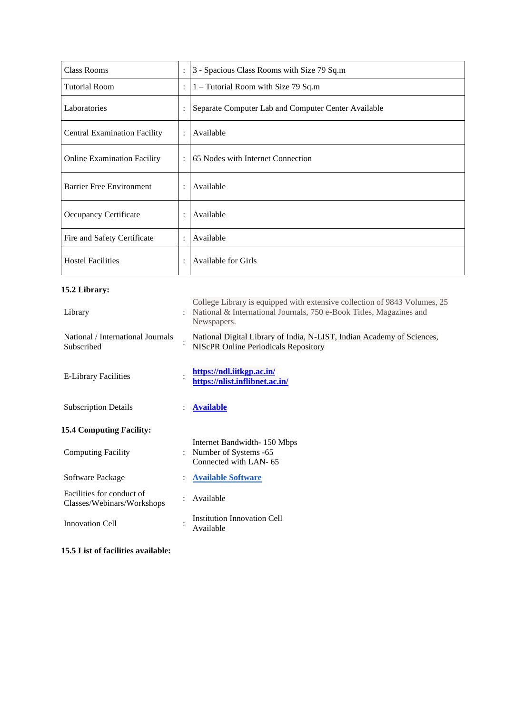| <b>Class Rooms</b>                  |                | 3 - Spacious Class Rooms with Size 79 Sq.m          |  |  |
|-------------------------------------|----------------|-----------------------------------------------------|--|--|
| <b>Tutorial Room</b>                | $\ddot{\cdot}$ | 1 – Tutorial Room with Size 79 Sq.m                 |  |  |
| Laboratories                        |                | Separate Computer Lab and Computer Center Available |  |  |
| <b>Central Examination Facility</b> | $\ddot{\cdot}$ | Available                                           |  |  |
| <b>Online Examination Facility</b>  |                | 65 Nodes with Internet Connection                   |  |  |
| <b>Barrier Free Environment</b>     |                | Available                                           |  |  |
| Occupancy Certificate               |                | Available                                           |  |  |
| Fire and Safety Certificate         |                | Available                                           |  |  |
| <b>Hostel Facilities</b>            |                | Available for Girls                                 |  |  |

## **15.2 Library:**

| 10.2 LIDI al 1.                                         |                |                                                                                                                                                                 |
|---------------------------------------------------------|----------------|-----------------------------------------------------------------------------------------------------------------------------------------------------------------|
| Library                                                 |                | College Library is equipped with extensive collection of 9843 Volumes, 25<br>National & International Journals, 750 e-Book Titles, Magazines and<br>Newspapers. |
| National / International Journals<br>Subscribed         |                | National Digital Library of India, N-LIST, Indian Academy of Sciences,<br><b>NIScPR Online Periodicals Repository</b>                                           |
| <b>E-Library Facilities</b>                             |                | https://ndl.iitkgp.ac.in/<br>https://nlist.inflibnet.ac.in/                                                                                                     |
| <b>Subscription Details</b>                             | $\ddot{\cdot}$ | <b>Available</b>                                                                                                                                                |
| <b>15.4 Computing Facility:</b>                         |                |                                                                                                                                                                 |
| <b>Computing Facility</b>                               | $\ddot{\cdot}$ | Internet Bandwidth-150 Mbps<br>Number of Systems -65<br>Connected with LAN-65                                                                                   |
| Software Package                                        |                | <b>Available Software</b>                                                                                                                                       |
| Facilities for conduct of<br>Classes/Webinars/Workshops |                | Available                                                                                                                                                       |
| <b>Innovation Cell</b>                                  |                | <b>Institution Innovation Cell</b><br>Available                                                                                                                 |

**15.5 List of facilities available:**